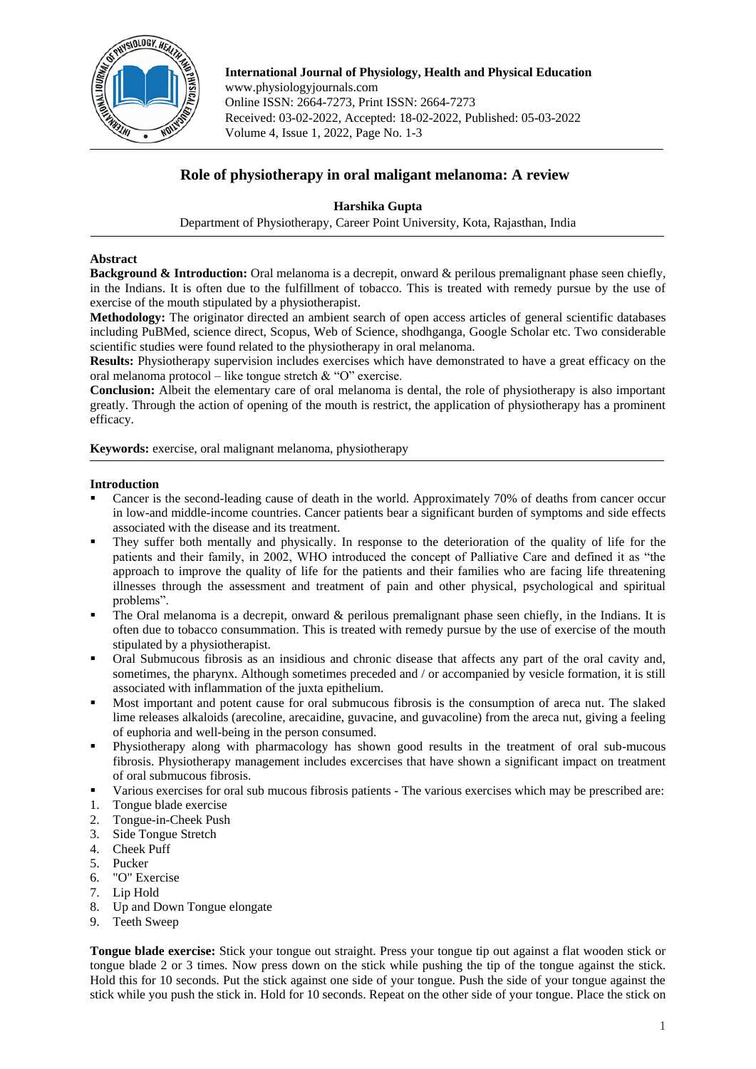

**International Journal of Physiology, Health and Physical Education** www.physiologyjournals.com Online ISSN: 2664-7273, Print ISSN: 2664-7273 Received: 03-02-2022, Accepted: 18-02-2022, Published: 05-03-2022 Volume 4, Issue 1, 2022, Page No. 1-3

# **Role of physiotherapy in oral maligant melanoma: A review**

## **Harshika Gupta**

Department of Physiotherapy, Career Point University, Kota, Rajasthan, India

## **Abstract**

**Background & Introduction:** Oral melanoma is a decrepit, onward & perilous premalignant phase seen chiefly, in the Indians. It is often due to the fulfillment of tobacco. This is treated with remedy pursue by the use of exercise of the mouth stipulated by a physiotherapist.

**Methodology:** The originator directed an ambient search of open access articles of general scientific databases including PuBMed, science direct, Scopus, Web of Science, shodhganga, Google Scholar etc. Two considerable scientific studies were found related to the physiotherapy in oral melanoma.

**Results:** Physiotherapy supervision includes exercises which have demonstrated to have a great efficacy on the oral melanoma protocol – like tongue stretch  $&$  "O" exercise.

**Conclusion:** Albeit the elementary care of oral melanoma is dental, the role of physiotherapy is also important greatly. Through the action of opening of the mouth is restrict, the application of physiotherapy has a prominent efficacy.

**Keywords:** exercise, oral malignant melanoma, physiotherapy

### **Introduction**

- Cancer is the second-leading cause of death in the world. Approximately 70% of deaths from cancer occur in low-and middle-income countries. Cancer patients bear a significant burden of symptoms and side effects associated with the disease and its treatment.
- They suffer both mentally and physically. In response to the deterioration of the quality of life for the patients and their family, in 2002, WHO introduced the concept of Palliative Care and defined it as "the approach to improve the quality of life for the patients and their families who are facing life threatening illnesses through the assessment and treatment of pain and other physical, psychological and spiritual problems".
- The Oral melanoma is a decrepit, onward & perilous premalignant phase seen chiefly, in the Indians. It is often due to tobacco consummation. This is treated with remedy pursue by the use of exercise of the mouth stipulated by a physiotherapist.
- Oral Submucous fibrosis as an insidious and chronic disease that affects any part of the oral cavity and, sometimes, the pharynx. Although sometimes preceded and / or accompanied by vesicle formation, it is still associated with inflammation of the juxta epithelium.
- Most important and potent cause for oral submucous fibrosis is the consumption of areca nut. The slaked lime releases alkaloids (arecoline, arecaidine, guvacine, and guvacoline) from the areca nut, giving a feeling of euphoria and well-being in the person consumed.
- Physiotherapy along with pharmacology has shown good results in the treatment of oral sub-mucous fibrosis. Physiotherapy management includes excercises that have shown a significant impact on treatment of oral submucous fibrosis.
- Various exercises for oral sub mucous fibrosis patients The various exercises which may be prescribed are:
- 1. Tongue blade exercise
- 2. Tongue-in-Cheek Push
- 3. Side Tongue Stretch
- 4. Cheek Puff
- 5. Pucker
- 6. "O" Exercise
- 7. Lip Hold
- 8. Up and Down Tongue elongate
- 9. Teeth Sweep

**Tongue blade exercise:** Stick your tongue out straight. Press your tongue tip out against a flat wooden stick or tongue blade 2 or 3 times. Now press down on the stick while pushing the tip of the tongue against the stick. Hold this for 10 seconds. Put the stick against one side of your tongue. Push the side of your tongue against the stick while you push the stick in. Hold for 10 seconds. Repeat on the other side of your tongue. Place the stick on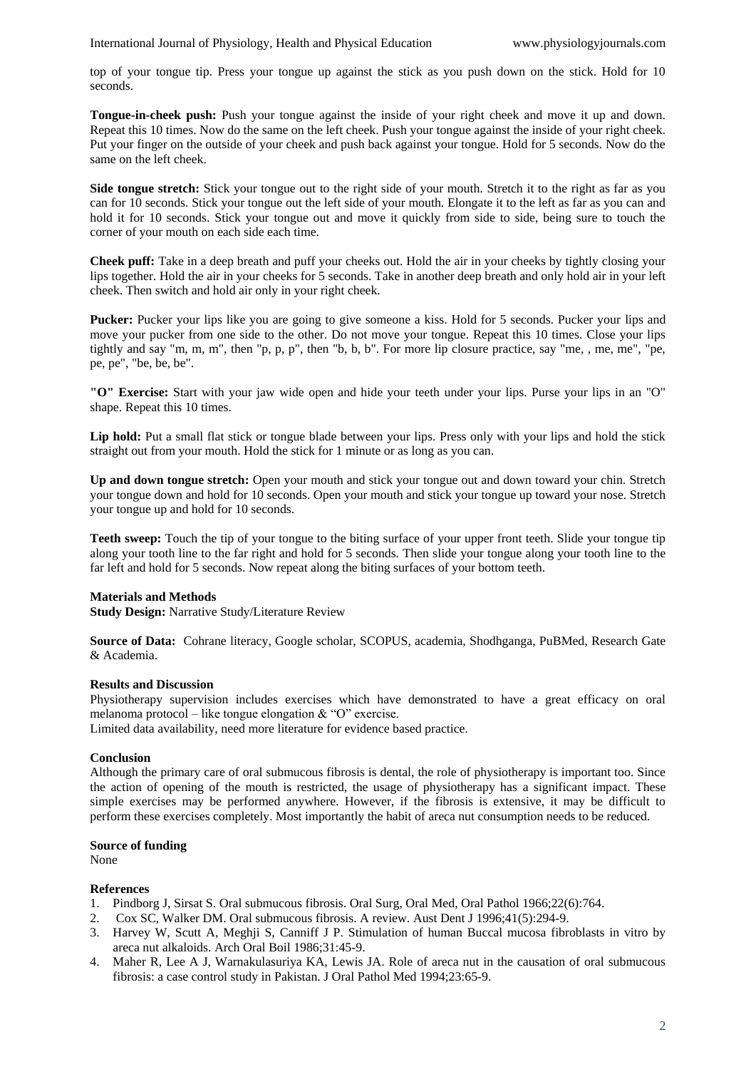top of your tongue tip. Press your tongue up against the stick as you push down on the stick. Hold for 10 seconds.

**Tongue-in-cheek push:** Push your tongue against the inside of your right cheek and move it up and down. Repeat this 10 times. Now do the same on the left cheek. Push your tongue against the inside of your right cheek. Put your finger on the outside of your cheek and push back against your tongue. Hold for 5 seconds. Now do the same on the left cheek.

**Side tongue stretch:** Stick your tongue out to the right side of your mouth. Stretch it to the right as far as you can for 10 seconds. Stick your tongue out the left side of your mouth. Elongate it to the left as far as you can and hold it for 10 seconds. Stick your tongue out and move it quickly from side to side, being sure to touch the corner of your mouth on each side each time.

**Cheek puff:** Take in a deep breath and puff your cheeks out. Hold the air in your cheeks by tightly closing your lips together. Hold the air in your cheeks for 5 seconds. Take in another deep breath and only hold air in your left cheek. Then switch and hold air only in your right cheek.

**Pucker:** Pucker your lips like you are going to give someone a kiss. Hold for 5 seconds. Pucker your lips and move your pucker from one side to the other. Do not move your tongue. Repeat this 10 times. Close your lips tightly and say "m, m, m", then "p, p, p", then "b, b, b". For more lip closure practice, say "me, , me, me", "pe, pe, pe", "be, be, be".

**"O" Exercise:** Start with your jaw wide open and hide your teeth under your lips. Purse your lips in an "O" shape. Repeat this 10 times.

Lip hold: Put a small flat stick or tongue blade between your lips. Press only with your lips and hold the stick straight out from your mouth. Hold the stick for 1 minute or as long as you can.

**Up and down tongue stretch:** Open your mouth and stick your tongue out and down toward your chin. Stretch your tongue down and hold for 10 seconds. Open your mouth and stick your tongue up toward your nose. Stretch your tongue up and hold for 10 seconds.

**Teeth sweep:** Touch the tip of your tongue to the biting surface of your upper front teeth. Slide your tongue tip along your tooth line to the far right and hold for 5 seconds. Then slide your tongue along your tooth line to the far left and hold for 5 seconds. Now repeat along the biting surfaces of your bottom teeth.

### **Materials and Methods**

**Study Design:** Narrative Study/Literature Review

**Source of Data:** Cohrane literacy, Google scholar, SCOPUS, academia, Shodhganga, PuBMed, Research Gate & Academia.

#### **Results and Discussion**

Physiotherapy supervision includes exercises which have demonstrated to have a great efficacy on oral melanoma protocol – like tongue elongation  $&$  "O" exercise.

Limited data availability, need more literature for evidence based practice.

#### **Conclusion**

Although the primary care of oral submucous fibrosis is dental, the role of physiotherapy is important too. Since the action of opening of the mouth is restricted, the usage of physiotherapy has a significant impact. These simple exercises may be performed anywhere. However, if the fibrosis is extensive, it may be difficult to perform these exercises completely. Most importantly the habit of areca nut consumption needs to be reduced.

## **Source of funding**

None

#### **References**

- 1. Pindborg J, Sirsat S. Oral submucous fibrosis. Oral Surg, Oral Med, Oral Pathol 1966;22(6):764.
- 2. Cox SC, Walker DM. Oral submucous fibrosis. A review. Aust Dent J 1996;41(5):294-9.
- 3. Harvey W, Scutt A, Meghji S, Canniff J P. Stimulation of human Buccal mucosa fibroblasts in vitro by areca nut alkaloids. Arch Oral Boil 1986;31:45-9.
- 4. Maher R, Lee A J, Warnakulasuriya KA, Lewis JA. Role of areca nut in the causation of oral submucous fibrosis: a case control study in Pakistan. J Oral Pathol Med 1994;23:65-9.